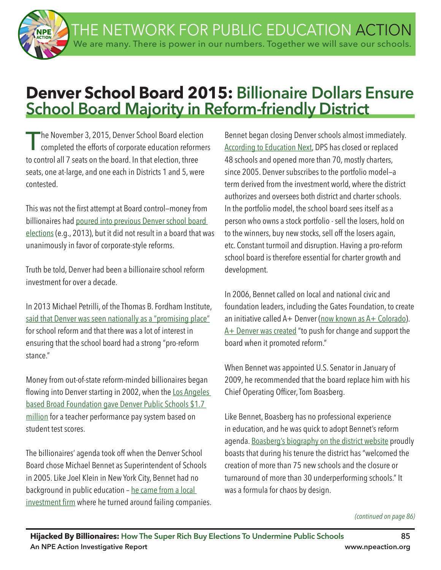THE NETWORK FOR PUBLIC EDUCATION ACTION We are many. There is power in our numbers. Together we will save our schools.

# **Denver School Board 2015: Billionaire Dollars Ensure School Board Majority in Reform-friendly District**

The November 3, 2015, Denver School Board election<br>
completed the efforts of corporate education reformers to control all 7 seats on the board. In that election, three seats, one at-large, and one each in Districts 1 and 5, were contested.

This was not the first attempt at Board control–money from billionaires had poured into previous Denver school board elections (e.g., 2013), but it did not result in a board that was unanimously in favor of corporate-style reforms.

Truth be told, Denver had been a billionaire school reform investment for over a decade.

In 2013 Michael Petrilli, of the Thomas B. Fordham Institute, said that Denver was seen nationally as a "promising place" for school reform and that there was a lot of interest in ensuring that the school board had a strong "pro-reform stance."

Money from out-of-state reform-minded billionaires began flowing into Denver starting in 2002, when the Los Angeles based Broad Foundation gave Denver Public Schools \$1.7 million for a teacher performance pay system based on student test scores.

The billionaires' agenda took off when the Denver School Board chose Michael Bennet as Superintendent of Schools in 2005. Like Joel Klein in New York City, Bennet had no background in public education - he came from a local investment firm where he turned around failing companies. Bennet began closing Denver schools almost immediately. According to Education Next, DPS has closed or replaced 48 schools and opened more than 70, mostly charters, since 2005. Denver subscribes to the portfolio model—a term derived from the investment world, where the district authorizes and oversees both district and charter schools. In the portfolio model, the school board sees itself as a person who owns a stock portfolio - sell the losers, hold on to the winners, buy new stocks, sell off the losers again, etc. Constant turmoil and disruption. Having a pro-reform school board is therefore essential for charter growth and development.

In 2006, Bennet called on local and national civic and foundation leaders, including the Gates Foundation, to create an initiative called A+ Denver (now known as A+ Colorado). A + Denver was created "to push for change and support the board when it promoted reform."

When Bennet was appointed U.S. Senator in January of 2009, he recommended that the board replace him with his Chief Operating Officer, Tom Boasberg.

Like Bennet, Boasberg has no professional experience in education, and he was quick to adopt Bennet's reform agenda. Boasberg's biography on the district website proudly boasts that during his tenure the district has "welcomed the creation of more than 75 new schools and the closure or turnaround of more than 30 underperforming schools." It was a formula for chaos by design.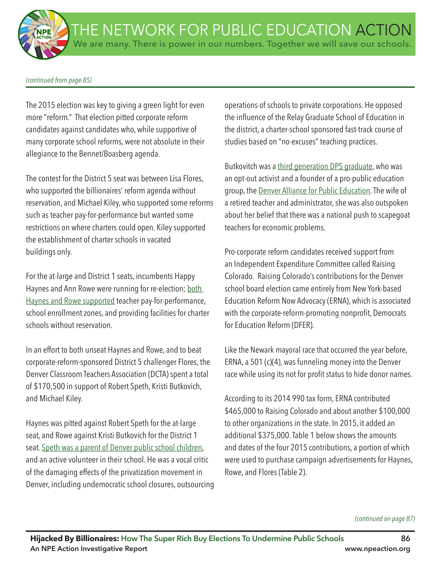#### *(continued from page 85)*

The 2015 election was key to giving a green light for even more "reform." That election pitted corporate reform candidates against candidates who, while supportive of many corporate school reforms, were not absolute in their allegiance to the Bennet/Boasberg agenda.

The contest for the District 5 seat was between Lisa Flores, who supported the billionaires' reform agenda without reservation, and Michael Kiley, who supported some reforms such as teacher pay-for-performance but wanted some restrictions on where charters could open. Kiley supported the establishment of charter schools in vacated buildings only.

For the at-large and District 1 seats, incumbents Happy Haynes and Ann Rowe were running for re-election; both Haynes and Rowe supported teacher pay-for-performance, school enrollment zones, and providing facilities for charter schools without reservation.

In an effort to both unseat Haynes and Rowe, and to beat corporate-reform-sponsored District 5 challenger Flores, the Denver Classroom Teachers Association (DCTA) spent a total of \$170,500 in support of Robert Speth, Kristi Butkovich, and Michael Kiley.

Haynes was pitted against Robert Speth for the at-large seat, and Rowe against Kristi Butkovich for the District 1 seat. Speth was a parent of Denver public school children, and an active volunteer in their school. He was a vocal critic of the damaging effects of the privatization movement in Denver, including undemocratic school closures, outsourcing operations of schools to private corporations. He opposed the infuence of the Relay Graduate School of Education in the district, a charter-school sponsored fast-track course of studies based on "no-excuses" teaching practices.

Butkovitch was a third generation DPS graduate, who was an opt-out activist and a founder of a pro-public education group, the Denver Alliance for Public Education. The wife of a retired teacher and administrator, she was also outspoken about her belief that there was a national push to scapegoat teachers for economic problems.

Pro-corporate reform candidates received support from an Independent Expenditure Committee called Raising Colorado. Raising Colorado's contributions for the Denver school board election came entirely from New York-based Education Reform Now Advocacy (ERNA), which is associated with the corporate-reform-promoting nonprofit, Democrats for Education Reform (DFER).

Like the Newark mayoral race that occurred the year before, ERNA, a 501 (c)(4), was funneling money into the Denver race while using its not for profit status to hide donor names.

According to its 2014 990 tax form, ERNA contributed \$465,000 to Raising Colorado and about another \$100,000 to other organizations in the state. In 2015, it added an additional \$375,000. Table 1 below shows the amounts and dates of the four 2015 contributions, a portion of which were used to purchase campaign advertisements for Haynes, Rowe, and Flores (Table 2).

*(continued on page 87)*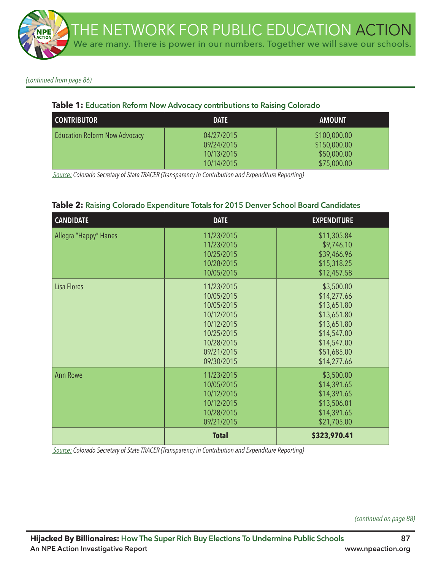*(continued from page 86)*

## **Table 1: Education Reform Now Advocacy contributions to Raising Colorado**

| I CONTRIBUTOR                        | <b>DATE</b>                                          | <b>AMOUNT</b>                                              |
|--------------------------------------|------------------------------------------------------|------------------------------------------------------------|
| <b>Education Reform Now Advocacy</b> | 04/27/2015<br>09/24/2015<br>10/13/2015<br>10/14/2015 | \$100,000.00<br>\$150,000.00<br>\$50,000.00<br>\$75,000.00 |

 *Source: Colorado Secretary of State TRACER (Transparency in Contribution and Expenditure Reporting)*

### **Table 2: Raising Colorado Expenditure Totals for 2015 Denver School Board Candidates**

| <b>CANDIDATE</b>      | <b>DATE</b>                                                                                                                | <b>EXPENDITURE</b>                                                                                                                 |
|-----------------------|----------------------------------------------------------------------------------------------------------------------------|------------------------------------------------------------------------------------------------------------------------------------|
| Allegra "Happy" Hanes | 11/23/2015<br>11/23/2015<br>10/25/2015<br>10/28/2015<br>10/05/2015                                                         | \$11,305.84<br>\$9,746.10<br>\$39,466.96<br>\$15,318.25<br>\$12,457.58                                                             |
| Lisa Flores           | 11/23/2015<br>10/05/2015<br>10/05/2015<br>10/12/2015<br>10/12/2015<br>10/25/2015<br>10/28/2015<br>09/21/2015<br>09/30/2015 | \$3,500.00<br>\$14,277.66<br>\$13,651.80<br>\$13,651.80<br>\$13,651.80<br>\$14,547.00<br>\$14,547.00<br>\$51,685.00<br>\$14,277.66 |
| <b>Ann Rowe</b>       | 11/23/2015<br>10/05/2015<br>10/12/2015<br>10/12/2015<br>10/28/2015<br>09/21/2015                                           | \$3,500.00<br>\$14,391.65<br>\$14,391.65<br>\$13,506.01<br>\$14,391.65<br>\$21,705.00                                              |
|                       | <b>Total</b>                                                                                                               | \$323,970.41                                                                                                                       |

 *Source: Colorado Secretary of State TRACER (Transparency in Contribution and Expenditure Reporting)*

*(continued on page 88)*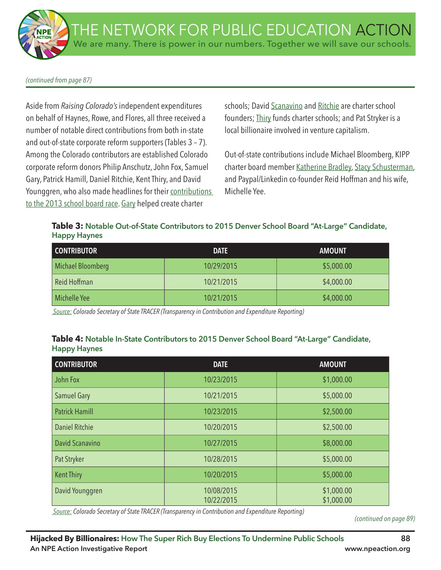#### *(continued from page 87)*

Aside from *Raising Colorado's* independent expenditures on behalf of Haynes, Rowe, and Flores, all three received a number of notable direct contributions from both in-state and out-of-state corporate reform supporters (Tables 3 – 7). Among the Colorado contributors are established Colorado corporate reform donors Philip Anschutz, John Fox, Samuel Gary, Patrick Hamill, Daniel Ritchie, Kent Thiry, and David Younggren, who also made headlines for their contributions to the 2013 school board race. Gary helped create charter

schools; David Scanavino and Ritchie are charter school founders; Thiry funds charter schools; and Pat Stryker is a local billionaire involved in venture capitalism.

Out-of-state contributions include Michael Bloomberg, KIPP charter board member Katherine Bradley, Stacy Schusterman, and Paypal/Linkedin co-founder Reid Hoffman and his wife, Michelle Yee.

**Table 3: Notable Out-of-State Contributors to 2015 Denver School Board "At-Large" Candidate, Happy Haynes**

| <b>CONTRIBUTOR</b> | <b>DATE</b> | <b>AMOUNT</b> |
|--------------------|-------------|---------------|
| Michael Bloomberg  | 10/29/2015  | \$5,000.00    |
| Reid Hoffman       | 10/21/2015  | \$4,000.00    |
| Michelle Yee       | 10/21/2015  | \$4,000.00    |

 *Source: Colorado Secretary of State TRACER (Transparency in Contribution and Expenditure Reporting)*

## **Table 4: Notable In-State Contributors to 2015 Denver School Board "At-Large" Candidate, Happy Haynes**

| <b>CONTRIBUTOR</b>    | <b>DATE</b>              | <b>AMOUNT</b>            |
|-----------------------|--------------------------|--------------------------|
| John Fox              | 10/23/2015               | \$1,000.00               |
| <b>Samuel Gary</b>    | 10/21/2015               | \$5,000.00               |
| <b>Patrick Hamill</b> | 10/23/2015               | \$2,500.00               |
| <b>Daniel Ritchie</b> | 10/20/2015               | \$2,500.00               |
| David Scanavino       | 10/27/2015               | \$8,000.00               |
| Pat Stryker           | 10/28/2015               | \$5,000.00               |
| <b>Kent Thiry</b>     | 10/20/2015               | \$5,000.00               |
| David Younggren       | 10/08/2015<br>10/22/2015 | \$1,000.00<br>\$1,000.00 |

 *Source: Colorado Secretary of State TRACER (Transparency in Contribution and Expenditure Reporting)*

*(continued on page 89)*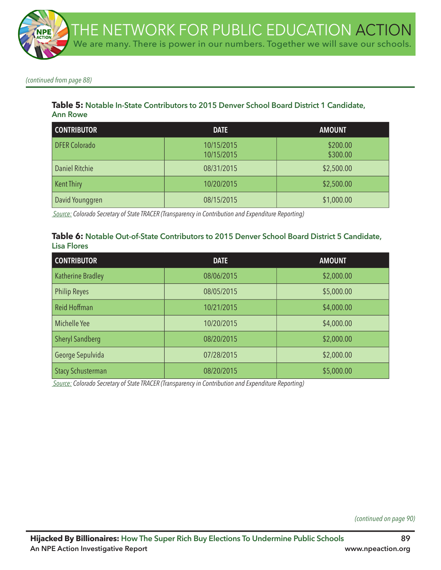*(continued from page 88)*

### **Table 5: Notable In-State Contributors to 2015 Denver School Board District 1 Candidate, Ann Rowe**

| <b>CONTRIBUTOR</b>   | <b>DATE</b>              | <b>AMOUNT</b>        |
|----------------------|--------------------------|----------------------|
| <b>DFER Colorado</b> | 10/15/2015<br>10/15/2015 | \$200.00<br>\$300.00 |
| Daniel Ritchie       | 08/31/2015               | \$2,500.00           |
| <b>Kent Thiry</b>    | 10/20/2015               | \$2,500.00           |
| David Younggren      | 08/15/2015               | \$1,000.00           |

 *Source: Colorado Secretary of State TRACER (Transparency in Contribution and Expenditure Reporting)*

#### **Table 6: Notable Out-of-State Contributors to 2015 Denver School Board District 5 Candidate, Lisa Flores**

| <b>CONTRIBUTOR</b>       | <b>DATE</b> | <b>AMOUNT</b> |
|--------------------------|-------------|---------------|
| <b>Katherine Bradley</b> | 08/06/2015  | \$2,000.00    |
| <b>Philip Reyes</b>      | 08/05/2015  | \$5,000.00    |
| <b>Reid Hoffman</b>      | 10/21/2015  | \$4,000.00    |
| Michelle Yee             | 10/20/2015  | \$4,000.00    |
| <b>Sheryl Sandberg</b>   | 08/20/2015  | \$2,000.00    |
| George Sepulvida         | 07/28/2015  | \$2,000.00    |
| <b>Stacy Schusterman</b> | 08/20/2015  | \$5,000.00    |

 *Source: Colorado Secretary of State TRACER (Transparency in Contribution and Expenditure Reporting)*

*(continued on page 90)*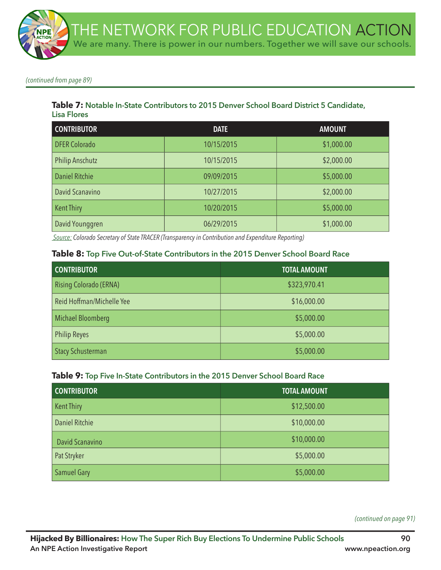*(continued from page 89)*

## **Table 7: Notable In-State Contributors to 2015 Denver School Board District 5 Candidate, Lisa Flores**

| <b>CONTRIBUTOR</b>     | <b>DATE</b> | <b>AMOUNT</b> |
|------------------------|-------------|---------------|
| <b>DFER Colorado</b>   | 10/15/2015  | \$1,000.00    |
| <b>Philip Anschutz</b> | 10/15/2015  | \$2,000.00    |
| <b>Daniel Ritchie</b>  | 09/09/2015  | \$5,000.00    |
| David Scanavino        | 10/27/2015  | \$2,000.00    |
| <b>Kent Thiry</b>      | 10/20/2015  | \$5,000.00    |
| David Younggren        | 06/29/2015  | \$1,000.00    |

 *Source: Colorado Secretary of State TRACER (Transparency in Contribution and Expenditure Reporting)*

#### **Table 8: Top Five Out-of-State Contributors in the 2015 Denver School Board Race**

| <b>CONTRIBUTOR</b>            | <b>TOTAL AMOUNT</b> |
|-------------------------------|---------------------|
| <b>Rising Colorado (ERNA)</b> | \$323,970.41        |
| Reid Hoffman/Michelle Yee     | \$16,000.00         |
| <b>Michael Bloomberg</b>      | \$5,000.00          |
| <b>Philip Reyes</b>           | \$5,000.00          |
| <b>Stacy Schusterman</b>      | \$5,000.00          |

### **Table 9: Top Five In-State Contributors in the 2015 Denver School Board Race**

| <b>CONTRIBUTOR</b>    | <b>TOTAL AMOUNT</b> |
|-----------------------|---------------------|
| <b>Kent Thiry</b>     | \$12,500.00         |
| <b>Daniel Ritchie</b> | \$10,000.00         |
| David Scanavino       | \$10,000.00         |
| Pat Stryker           | \$5,000.00          |
| <b>Samuel Gary</b>    | \$5,000.00          |

*(continued on page 91)*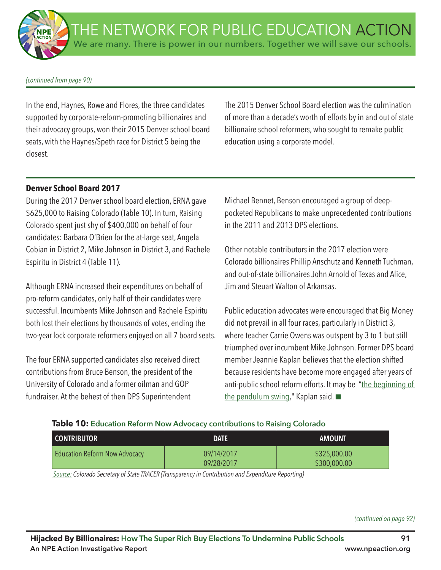#### *(continued from page 90)*

In the end, Haynes, Rowe and Flores, the three candidates supported by corporate-reform-promoting billionaires and their advocacy groups, won their 2015 Denver school board seats, with the Haynes/Speth race for District 5 being the closest.

The 2015 Denver School Board election was the culmination of more than a decade's worth of efforts by in and out of state billionaire school reformers, who sought to remake public education using a corporate model.

### **Denver School Board 2017**

During the 2017 Denver school board election, ERNA gave \$625,000 to Raising Colorado (Table 10). In turn, Raising Colorado spent just shy of \$400,000 on behalf of four candidates: Barbara O'Brien for the at-large seat, Angela Cobian in District 2, Mike Johnson in District 3, and Rachele Espiritu in District 4 (Table 11).

Although ERNA increased their expenditures on behalf of pro-reform candidates, only half of their candidates were successful. Incumbents Mike Johnson and Rachele Espiritu both lost their elections by thousands of votes, ending the two-year lock corporate reformers enjoyed on all 7 board seats.

The four ERNA supported candidates also received direct contributions from Bruce Benson, the president of the University of Colorado and a former oilman and GOP fundraiser. At the behest of then DPS Superintendent

Michael Bennet, Benson encouraged a group of deeppocketed Republicans to make unprecedented contributions in the 2011 and 2013 DPS elections.

Other notable contributors in the 2017 election were Colorado billionaires Phillip Anschutz and Kenneth Tuchman, and out-of-state billionaires John Arnold of Texas and Alice, Jim and Steuart Walton of Arkansas.

Public education advocates were encouraged that Big Money did not prevail in all four races, particularly in District 3, where teacher Carrie Owens was outspent by 3 to 1 but still triumphed over incumbent Mike Johnson. Former DPS board member Jeannie Kaplan believes that the election shifted because residents have become more engaged after years of anti-public school reform efforts. It may be "the beginning of the pendulum swing," Kaplan said.  $\blacksquare$ 

### **Table 10: Education Reform Now Advocacy contributions to Raising Colorado**

| <b>CONTRIBUTOR</b>                   | <b>DATE</b>              | <b>AMOUNT</b>                |
|--------------------------------------|--------------------------|------------------------------|
| <b>Education Reform Now Advocacy</b> | 09/14/2017<br>09/28/2017 | \$325,000.00<br>\$300,000.00 |

 *Source: Colorado Secretary of State TRACER (Transparency in Contribution and Expenditure Reporting)*

*(continued on page 92)*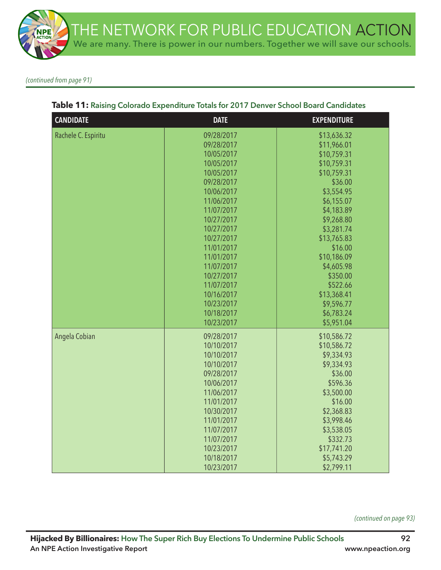

*(continued from page 91)*

| <b>CANDIDATE</b>    | <b>DATE</b>                                                                                                                                                                                                                                                                                        | <b>EXPENDITURE</b>                                                                                                                                                                                                                                                                               |
|---------------------|----------------------------------------------------------------------------------------------------------------------------------------------------------------------------------------------------------------------------------------------------------------------------------------------------|--------------------------------------------------------------------------------------------------------------------------------------------------------------------------------------------------------------------------------------------------------------------------------------------------|
| Rachele C. Espiritu | 09/28/2017<br>09/28/2017<br>10/05/2017<br>10/05/2017<br>10/05/2017<br>09/28/2017<br>10/06/2017<br>11/06/2017<br>11/07/2017<br>10/27/2017<br>10/27/2017<br>10/27/2017<br>11/01/2017<br>11/01/2017<br>11/07/2017<br>10/27/2017<br>11/07/2017<br>10/16/2017<br>10/23/2017<br>10/18/2017<br>10/23/2017 | \$13,636.32<br>\$11,966.01<br>\$10,759.31<br>\$10,759.31<br>\$10,759.31<br>\$36.00<br>\$3,554.95<br>\$6,155.07<br>\$4,183.89<br>\$9,268.80<br>\$3,281.74<br>\$13,765.83<br>\$16.00<br>\$10,186.09<br>\$4,605.98<br>\$350.00<br>\$522.66<br>\$13,368.41<br>\$9,596.77<br>\$6,783.24<br>\$5,951.04 |
| Angela Cobian       | 09/28/2017<br>10/10/2017<br>10/10/2017<br>10/10/2017<br>09/28/2017<br>10/06/2017<br>11/06/2017<br>11/01/2017<br>10/30/2017<br>11/01/2017<br>11/07/2017<br>11/07/2017<br>10/23/2017<br>10/18/2017<br>10/23/2017                                                                                     | \$10,586.72<br>\$10,586.72<br>\$9,334.93<br>\$9,334.93<br>\$36.00<br>\$596.36<br>\$3,500.00<br>\$16.00<br>\$2,368.83<br>\$3,998.46<br>\$3,538.05<br>\$332.73<br>\$17,741.20<br>\$5,743.29<br>\$2,799.11                                                                                          |

## **Table 11: Raising Colorado Expenditure Totals for 2017 Denver School Board Candidates**

*(continued on page 93)*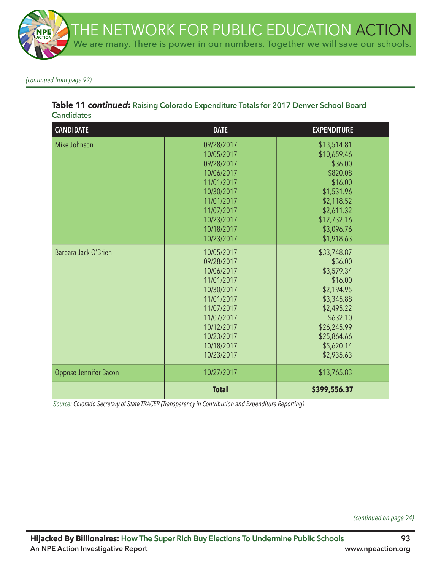

*(continued from page 92)*

# **Table 11** *continued***: Raising Colorado Expenditure Totals for 2017 Denver School Board Candidates**

| <b>CANDIDATE</b>      | <b>DATE</b>                                                                                                                                                          | <b>EXPENDITURE</b>                                                                                                                                              |
|-----------------------|----------------------------------------------------------------------------------------------------------------------------------------------------------------------|-----------------------------------------------------------------------------------------------------------------------------------------------------------------|
| Mike Johnson          | 09/28/2017<br>10/05/2017<br>09/28/2017<br>10/06/2017<br>11/01/2017<br>10/30/2017<br>11/01/2017<br>11/07/2017<br>10/23/2017<br>10/18/2017<br>10/23/2017               | \$13,514.81<br>\$10,659.46<br>\$36.00<br>\$820.08<br>\$16.00<br>\$1,531.96<br>\$2,118.52<br>\$2,611.32<br>\$12,732.16<br>\$3,096.76<br>\$1,918.63               |
| Barbara Jack O'Brien  | 10/05/2017<br>09/28/2017<br>10/06/2017<br>11/01/2017<br>10/30/2017<br>11/01/2017<br>11/07/2017<br>11/07/2017<br>10/12/2017<br>10/23/2017<br>10/18/2017<br>10/23/2017 | \$33,748.87<br>\$36.00<br>\$3,579.34<br>\$16.00<br>\$2,194.95<br>\$3,345.88<br>\$2,495.22<br>\$632.10<br>\$26,245.99<br>\$25,864.66<br>\$5,620.14<br>\$2,935.63 |
| Oppose Jennifer Bacon | 10/27/2017                                                                                                                                                           | \$13,765.83                                                                                                                                                     |
|                       | <b>Total</b>                                                                                                                                                         | \$399,556.37                                                                                                                                                    |

 *Source: Colorado Secretary of State TRACER (Transparency in Contribution and Expenditure Reporting)*

*(continued on page 94)*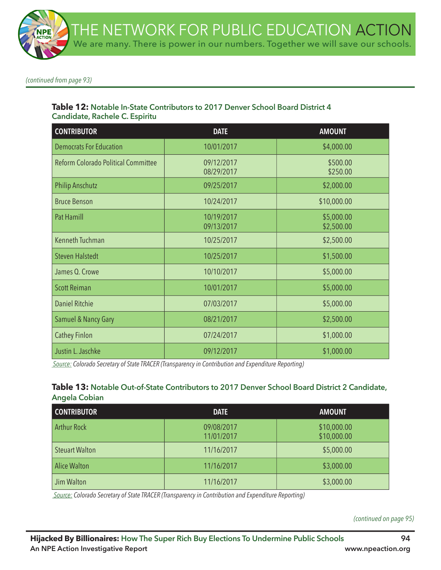*(continued from page 93)*

#### **Table 12: Notable In-State Contributors to 2017 Denver School Board District 4 Candidate, Rachele C. Espiritu**

| <b>CONTRIBUTOR</b>                  | <b>DATE</b>              | <b>AMOUNT</b>            |
|-------------------------------------|--------------------------|--------------------------|
| <b>Democrats For Education</b>      | 10/01/2017               | \$4,000.00               |
| Reform Colorado Political Committee | 09/12/2017<br>08/29/2017 | \$500.00<br>\$250.00     |
| <b>Philip Anschutz</b>              | 09/25/2017               | \$2,000.00               |
| <b>Bruce Benson</b>                 | 10/24/2017               | \$10,000.00              |
| <b>Pat Hamill</b>                   | 10/19/2017<br>09/13/2017 | \$5,000.00<br>\$2,500.00 |
| Kenneth Tuchman                     | 10/25/2017               | \$2,500.00               |
| <b>Steven Halstedt</b>              | 10/25/2017               | \$1,500.00               |
| James Q. Crowe                      | 10/10/2017               | \$5,000.00               |
| <b>Scott Reiman</b>                 | 10/01/2017               | \$5,000.00               |
| <b>Daniel Ritchie</b>               | 07/03/2017               | \$5,000.00               |
| <b>Samuel &amp; Nancy Gary</b>      | 08/21/2017               | \$2,500.00               |
| <b>Cathey Finlon</b>                | 07/24/2017               | \$1,000.00               |
| Justin L. Jaschke                   | 09/12/2017               | \$1,000.00               |

 *Source: Colorado Secretary of State TRACER (Transparency in Contribution and Expenditure Reporting)*

#### **Table 13: Notable Out-of-State Contributors to 2017 Denver School Board District 2 Candidate, Angela Cobian**

| <b>CONTRIBUTOR</b>    | <b>DATE</b>              | <b>AMOUNT</b>              |
|-----------------------|--------------------------|----------------------------|
| <b>Arthur Rock</b>    | 09/08/2017<br>11/01/2017 | \$10,000.00<br>\$10,000.00 |
| <b>Steuart Walton</b> | 11/16/2017               | \$5,000.00                 |
| <b>Alice Walton</b>   | 11/16/2017               | \$3,000.00                 |
| Jim Walton            | 11/16/2017               | \$3,000.00                 |

 *Source: Colorado Secretary of State TRACER (Transparency in Contribution and Expenditure Reporting)*

*(continued on page 95)*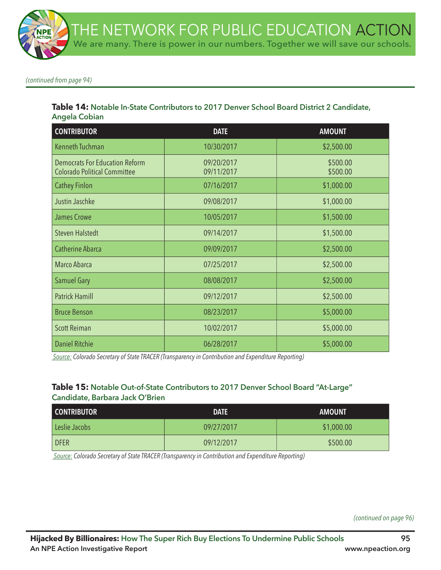*(continued from page 94)*

#### **Table 14: Notable In-State Contributors to 2017 Denver School Board District 2 Candidate, Angela Cobian**

| <b>CONTRIBUTOR</b>                                                           | <b>DATE</b>              | <b>AMOUNT</b>        |
|------------------------------------------------------------------------------|--------------------------|----------------------|
| Kenneth Tuchman                                                              | 10/30/2017               | \$2,500.00           |
| <b>Democrats For Education Reform</b><br><b>Colorado Political Committee</b> | 09/20/2017<br>09/11/2017 | \$500.00<br>\$500.00 |
| <b>Cathey Finlon</b>                                                         | 07/16/2017               | \$1,000.00           |
| Justin Jaschke                                                               | 09/08/2017               | \$1,000.00           |
| <b>James Crowe</b>                                                           | 10/05/2017               | \$1,500.00           |
| <b>Steven Halstedt</b>                                                       | 09/14/2017               | \$1,500.00           |
| <b>Catherine Abarca</b>                                                      | 09/09/2017               | \$2,500.00           |
| Marco Abarca                                                                 | 07/25/2017               | \$2,500.00           |
| <b>Samuel Gary</b>                                                           | 08/08/2017               | \$2,500.00           |
| <b>Patrick Hamill</b>                                                        | 09/12/2017               | \$2,500.00           |
| <b>Bruce Benson</b>                                                          | 08/23/2017               | \$5,000.00           |
| <b>Scott Reiman</b>                                                          | 10/02/2017               | \$5,000.00           |
| <b>Daniel Ritchie</b>                                                        | 06/28/2017               | \$5,000.00           |

 *Source: Colorado Secretary of State TRACER (Transparency in Contribution and Expenditure Reporting)*

### **Table 15: Notable Out-of-State Contributors to 2017 Denver School Board "At-Large" Candidate, Barbara Jack O'Brien**

| <b>CONTRIBUTOR</b> | <b>DATE</b> | <b>AMOUNT</b> |
|--------------------|-------------|---------------|
| Leslie Jacobs      | 09/27/2017  | \$1,000.00    |
| <b>DFER</b>        | 09/12/2017  | \$500.00      |

 *Source: Colorado Secretary of State TRACER (Transparency in Contribution and Expenditure Reporting)*

*(continued on page 96)*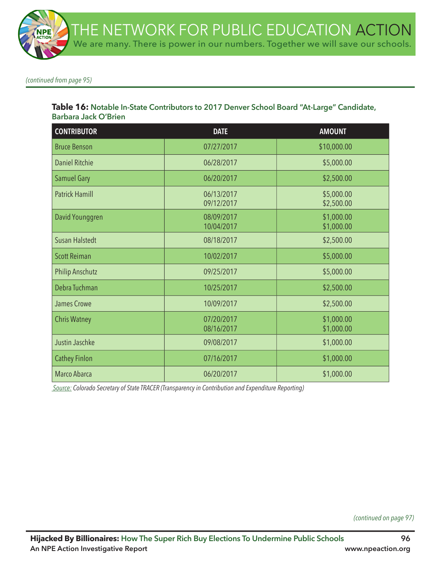*(continued from page 95)*

#### **Table 16: Notable In-State Contributors to 2017 Denver School Board "At-Large" Candidate, Barbara Jack O'Brien**

| <b>CONTRIBUTOR</b>     | <b>DATE</b>              | <b>AMOUNT</b>            |
|------------------------|--------------------------|--------------------------|
| <b>Bruce Benson</b>    | 07/27/2017               | \$10,000.00              |
| <b>Daniel Ritchie</b>  | 06/28/2017               | \$5,000.00               |
| <b>Samuel Gary</b>     | 06/20/2017               | \$2,500.00               |
| <b>Patrick Hamill</b>  | 06/13/2017<br>09/12/2017 | \$5,000.00<br>\$2,500.00 |
| David Younggren        | 08/09/2017<br>10/04/2017 | \$1,000.00<br>\$1,000.00 |
| <b>Susan Halstedt</b>  | 08/18/2017               | \$2,500.00               |
| <b>Scott Reiman</b>    | 10/02/2017               | \$5,000.00               |
| <b>Philip Anschutz</b> | 09/25/2017               | \$5,000.00               |
| Debra Tuchman          | 10/25/2017               | \$2,500.00               |
| <b>James Crowe</b>     | 10/09/2017               | \$2,500.00               |
| <b>Chris Watney</b>    | 07/20/2017<br>08/16/2017 | \$1,000.00<br>\$1,000.00 |
| Justin Jaschke         | 09/08/2017               | \$1,000.00               |
| <b>Cathey Finlon</b>   | 07/16/2017               | \$1,000.00               |
| Marco Abarca           | 06/20/2017               | \$1,000.00               |

 *Source: Colorado Secretary of State TRACER (Transparency in Contribution and Expenditure Reporting)*

*(continued on page 97)*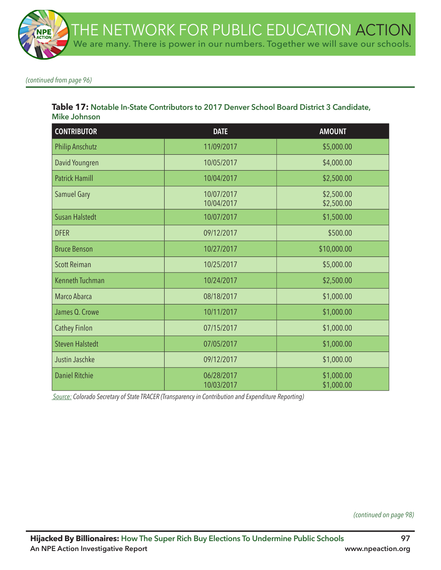*(continued from page 96)*

#### **Table 17: Notable In-State Contributors to 2017 Denver School Board District 3 Candidate, Mike Johnson**

| <b>CONTRIBUTOR</b>     | <b>DATE</b>              | <b>AMOUNT</b>            |
|------------------------|--------------------------|--------------------------|
| <b>Philip Anschutz</b> | 11/09/2017               | \$5,000.00               |
| David Youngren         | 10/05/2017               | \$4,000.00               |
| <b>Patrick Hamill</b>  | 10/04/2017               | \$2,500.00               |
| <b>Samuel Gary</b>     | 10/07/2017<br>10/04/2017 | \$2,500.00<br>\$2,500.00 |
| <b>Susan Halstedt</b>  | 10/07/2017               | \$1,500.00               |
| <b>DFER</b>            | 09/12/2017               | \$500.00                 |
| <b>Bruce Benson</b>    | 10/27/2017               | \$10,000.00              |
| <b>Scott Reiman</b>    | 10/25/2017               | \$5,000.00               |
| <b>Kenneth Tuchman</b> | 10/24/2017               | \$2,500.00               |
| Marco Abarca           | 08/18/2017               | \$1,000.00               |
| James Q. Crowe         | 10/11/2017               | \$1,000.00               |
| <b>Cathey Finlon</b>   | 07/15/2017               | \$1,000.00               |
| <b>Steven Halstedt</b> | 07/05/2017               | \$1,000.00               |
| Justin Jaschke         | 09/12/2017               | \$1,000.00               |
| <b>Daniel Ritchie</b>  | 06/28/2017<br>10/03/2017 | \$1,000.00<br>\$1,000.00 |

 *Source: Colorado Secretary of State TRACER (Transparency in Contribution and Expenditure Reporting)*

*(continued on page 98)*